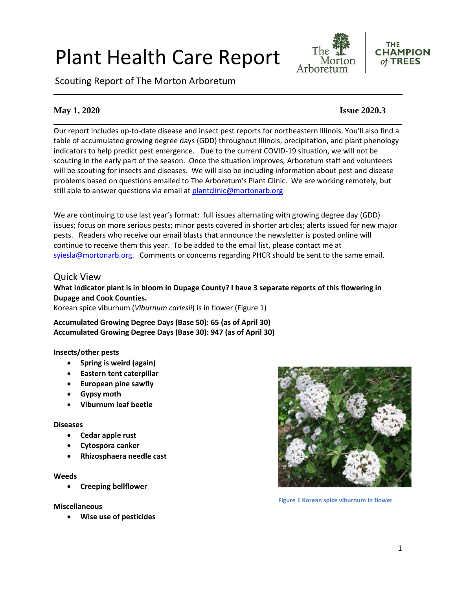# Plant Health Care Report

Scouting Report of The Morton Arboretum



#### **THE CHAMPION** of TREES

# **May 1, 2020 Issue 2020.3**

**\_\_\_\_\_\_\_\_\_\_\_\_\_\_\_\_\_\_\_\_\_\_\_\_\_\_\_\_\_\_\_\_\_\_\_\_\_\_\_\_\_\_\_\_\_\_\_\_\_\_\_\_\_\_\_\_\_\_\_\_\_\_\_\_\_\_\_\_\_\_\_\_\_\_\_\_\_\_** Our report includes up-to-date disease and insect pest reports for northeastern Illinois. You'll also find a table of accumulated growing degree days (GDD) throughout Illinois, precipitation, and plant phenology indicators to help predict pest emergence. Due to the current COVID-19 situation, we will not be scouting in the early part of the season. Once the situation improves, Arboretum staff and volunteers will be scouting for insects and diseases. We will also be including information about pest and disease problems based on questions emailed to The Arboretum's Plant Clinic. We are working remotely, but still able to answer questions via email at [plantclinic@mortonarb.org](mailto:plantclinic@mortonarb.org)

We are continuing to use last year's format: full issues alternating with growing degree day (GDD) issues; focus on more serious pests; minor pests covered in shorter articles; alerts issued for new major pests. Readers who receive our email blasts that announce the newsletter is posted online will continue to receive them this year. To be added to the email list, please contact me at [syiesla@mortonarb.org.](mailto:syiesla@mortonarb.org) Comments or concerns regarding PHCR should be sent to the same email.

# Quick View

#### **What indicator plant is in bloom in Dupage County? I have 3 separate reports of this flowering in Dupage and Cook Counties.**

Korean spice viburnum (*Viburnum carlesii*) is in flower (Figure 1)

**Accumulated Growing Degree Days (Base 50): 65 (as of April 30) Accumulated Growing Degree Days (Base 30): 947 (as of April 30)**

### **Insects/other pests**

- **Spring is weird (again)**
- **Eastern tent caterpillar**
- **European pine sawfly**
- **Gypsy moth**
- **Viburnum leaf beetle**

#### **Diseases**

- **Cedar apple rust**
- **Cytospora canker**
- **Rhizosphaera needle cast**

#### **Weeds**

• **Creeping bellflower**

#### **Miscellaneous**

• **Wise use of pesticides**



**Figure 1 Korean spice viburnum in flower**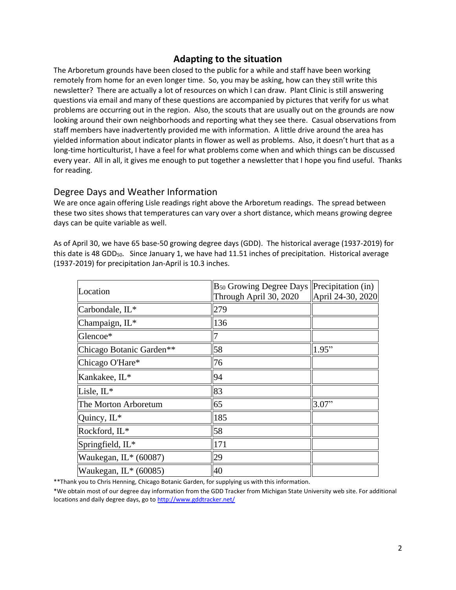### **Adapting to the situation**

The Arboretum grounds have been closed to the public for a while and staff have been working remotely from home for an even longer time. So, you may be asking, how can they still write this newsletter? There are actually a lot of resources on which I can draw. Plant Clinic is still answering questions via email and many of these questions are accompanied by pictures that verify for us what problems are occurring out in the region. Also, the scouts that are usually out on the grounds are now looking around their own neighborhoods and reporting what they see there. Casual observations from staff members have inadvertently provided me with information. A little drive around the area has yielded information about indicator plants in flower as well as problems. Also, it doesn't hurt that as a long-time horticulturist, I have a feel for what problems come when and which things can be discussed every year. All in all, it gives me enough to put together a newsletter that I hope you find useful. Thanks for reading.

# Degree Days and Weather Information

We are once again offering Lisle readings right above the Arboretum readings. The spread between these two sites shows that temperatures can vary over a short distance, which means growing degree days can be quite variable as well.

As of April 30, we have 65 base-50 growing degree days (GDD). The historical average (1937-2019) for this date is 48 GDD<sub>50</sub>. Since January 1, we have had 11.51 inches of precipitation. Historical average (1937-2019) for precipitation Jan-April is 10.3 inches.

| Location                    | $B_{50}$ Growing Degree Days Precipitation (in)<br>Through April 30, 2020 | April 24-30, 2020 |
|-----------------------------|---------------------------------------------------------------------------|-------------------|
| Carbondale, IL <sup>*</sup> | 279                                                                       |                   |
| Champaign, IL*              | 136                                                                       |                   |
| Glencoe*                    |                                                                           |                   |
| Chicago Botanic Garden**    | 58                                                                        | 1.95"             |
| Chicago O'Hare*             | 76                                                                        |                   |
| Kankakee, IL*               | 94                                                                        |                   |
| Lisle, $IL^*$               | 83                                                                        |                   |
| The Morton Arboretum        | 65                                                                        | 3.07"             |
| Quincy, $IL^*$              | 185                                                                       |                   |
| Rockford, IL*               | 58                                                                        |                   |
| Springfield, IL*            | 171                                                                       |                   |
| Waukegan, $IL* (60087)$     | 29                                                                        |                   |
| Waukegan, $IL^*(60085)$     | 40                                                                        |                   |

\*\*Thank you to Chris Henning, Chicago Botanic Garden, for supplying us with this information.

\*We obtain most of our degree day information from the GDD Tracker from Michigan State University web site. For additional locations and daily degree days, go t[o http://www.gddtracker.net/](http://www.gddtracker.net/)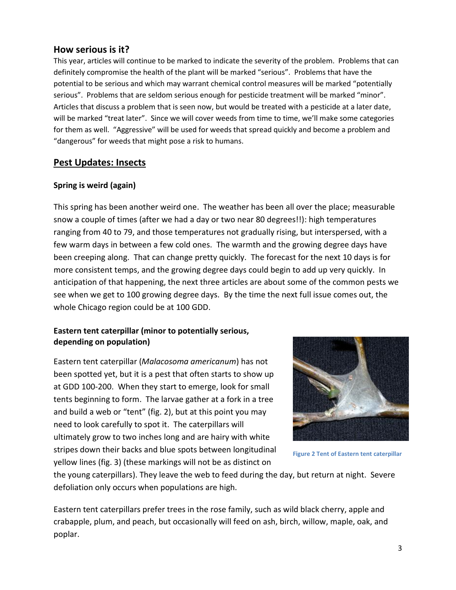# **How serious is it?**

This year, articles will continue to be marked to indicate the severity of the problem. Problems that can definitely compromise the health of the plant will be marked "serious".Problems that have the potential to be serious and which may warrant chemical control measures will be marked "potentially serious". Problems that are seldom serious enough for pesticide treatment will be marked "minor". Articles that discuss a problem that is seen now, but would be treated with a pesticide at a later date, will be marked "treat later". Since we will cover weeds from time to time, we'll make some categories for them as well. "Aggressive" will be used for weeds that spread quickly and become a problem and "dangerous" for weeds that might pose a risk to humans.

# **Pest Updates: Insects**

#### **Spring is weird (again)**

This spring has been another weird one. The weather has been all over the place; measurable snow a couple of times (after we had a day or two near 80 degrees!!): high temperatures ranging from 40 to 79, and those temperatures not gradually rising, but interspersed, with a few warm days in between a few cold ones. The warmth and the growing degree days have been creeping along. That can change pretty quickly. The forecast for the next 10 days is for more consistent temps, and the growing degree days could begin to add up very quickly. In anticipation of that happening, the next three articles are about some of the common pests we see when we get to 100 growing degree days. By the time the next full issue comes out, the whole Chicago region could be at 100 GDD.

# **Eastern tent caterpillar (minor to potentially serious, depending on population)**

Eastern tent caterpillar (*Malacosoma americanum*) has not been spotted yet, but it is a pest that often starts to show up at GDD 100-200. When they start to emerge, look for small tents beginning to form. The larvae gather at a fork in a tree and build a web or "tent" (fig. 2), but at this point you may need to look carefully to spot it. The caterpillars will ultimately grow to two inches long and are hairy with white stripes down their backs and blue spots between longitudinal yellow lines (fig. 3) (these markings will not be as distinct on



**Figure 2 Tent of Eastern tent caterpillar**

the young caterpillars). They leave the web to feed during the day, but return at night. Severe defoliation only occurs when populations are high.

Eastern tent caterpillars prefer trees in the rose family, such as wild black cherry, apple and crabapple, plum, and peach, but occasionally will feed on ash, birch, willow, maple, oak, and poplar.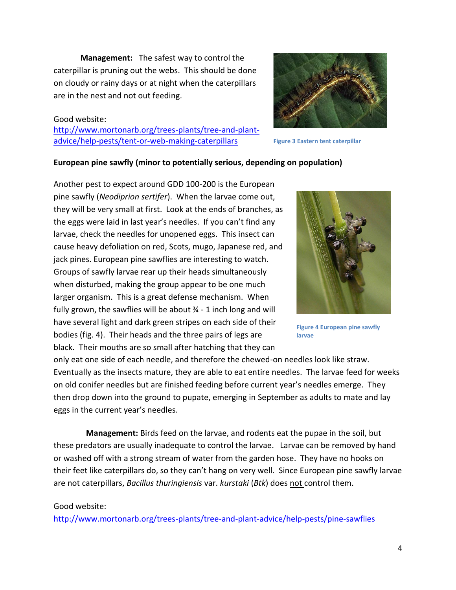**Management:** The safest way to control the caterpillar is pruning out the webs. This should be done on cloudy or rainy days or at night when the caterpillars are in the nest and not out feeding.

#### Good website:

[http://www.mortonarb.org/trees-plants/tree-and-plant](http://www.mortonarb.org/trees-plants/tree-and-plant-advice/help-pests/tent-or-web-making-caterpillars)[advice/help-pests/tent-or-web-making-caterpillars](http://www.mortonarb.org/trees-plants/tree-and-plant-advice/help-pests/tent-or-web-making-caterpillars)



**Figure 3 Eastern tent caterpillar**

### **European pine sawfly (minor to potentially serious, depending on population)**

Another pest to expect around GDD 100-200 is the European pine sawfly (*Neodiprion sertifer*). When the larvae come out, they will be very small at first. Look at the ends of branches, as the eggs were laid in last year's needles. If you can't find any larvae, check the needles for unopened eggs. This insect can cause heavy defoliation on red, Scots, mugo, Japanese red, and jack pines. European pine sawflies are interesting to watch. Groups of sawfly larvae rear up their heads simultaneously when disturbed, making the group appear to be one much larger organism. This is a great defense mechanism. When fully grown, the sawflies will be about  $\frac{3}{4}$  - 1 inch long and will have several light and dark green stripes on each side of their bodies (fig. 4). Their heads and the three pairs of legs are black. Their mouths are so small after hatching that they can



**Figure 4 European pine sawfly larvae**

only eat one side of each needle, and therefore the chewed-on needles look like straw. Eventually as the insects mature, they are able to eat entire needles. The larvae feed for weeks on old conifer needles but are finished feeding before current year's needles emerge. They then drop down into the ground to pupate, emerging in September as adults to mate and lay eggs in the current year's needles.

 **Management:** Birds feed on the larvae, and rodents eat the pupae in the soil, but these predators are usually inadequate to control the larvae. Larvae can be removed by hand or washed off with a strong stream of water from the garden hose. They have no hooks on their feet like caterpillars do, so they can't hang on very well. Since European pine sawfly larvae are not caterpillars, *Bacillus thuringiensis* var. *kurstaki* (*Btk*) does not control them.

#### Good website:

<http://www.mortonarb.org/trees-plants/tree-and-plant-advice/help-pests/pine-sawflies>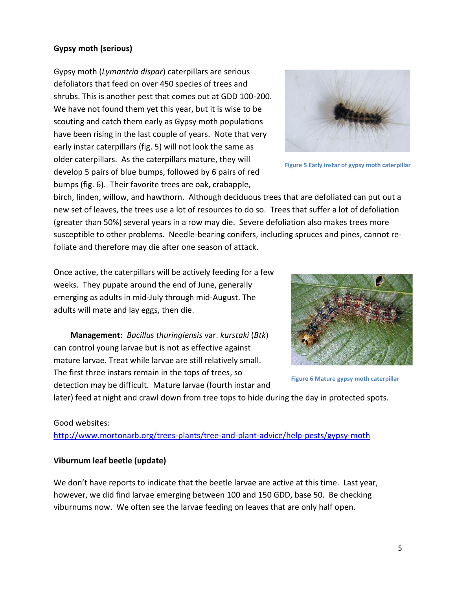# Good websites:

### <http://www.mortonarb.org/trees-plants/tree-and-plant-advice/help-pests/gypsy-moth>

### **Viburnum leaf beetle (update)**

We don't have reports to indicate that the beetle larvae are active at this time. Last year, however, we did find larvae emerging between 100 and 150 GDD, base 50. Be checking viburnums now. We often see the larvae feeding on leaves that are only half open.

birch, linden, willow, and hawthorn. Although deciduous trees that are defoliated can put out a new set of leaves, the trees use a lot of resources to do so. Trees that suffer a lot of defoliation (greater than 50%) several years in a row may die. Severe defoliation also makes trees more susceptible to other problems. Needle-bearing conifers, including spruces and pines, cannot refoliate and therefore may die after one season of attack.

bumps (fig. 6). Their favorite trees are oak, crabapple,

Once active, the caterpillars will be actively feeding for a few weeks. They pupate around the end of June, generally emerging as adults in mid-July through mid-August. The adults will mate and lay eggs, then die.

Gypsy moth (*Lymantria dispar*) caterpillars are serious defoliators that feed on over 450 species of trees and

shrubs. This is another pest that comes out at GDD 100-200. We have not found them yet this year, but it is wise to be scouting and catch them early as Gypsy moth populations have been rising in the last couple of years. Note that very early instar caterpillars (fig. 5) will not look the same as older caterpillars. As the caterpillars mature, they will develop 5 pairs of blue bumps, followed by 6 pairs of red

**Management:** *Bacillus thuringiensis* var. *kurstaki* (*Btk*) can control young larvae but is not as effective against mature larvae. Treat while larvae are still relatively small. The first three instars remain in the tops of trees, so detection may be difficult. Mature larvae (fourth instar and

later) feed at night and crawl down from tree tops to hide during the day in protected spots.







**Figure 6 Mature gypsy moth caterpillar**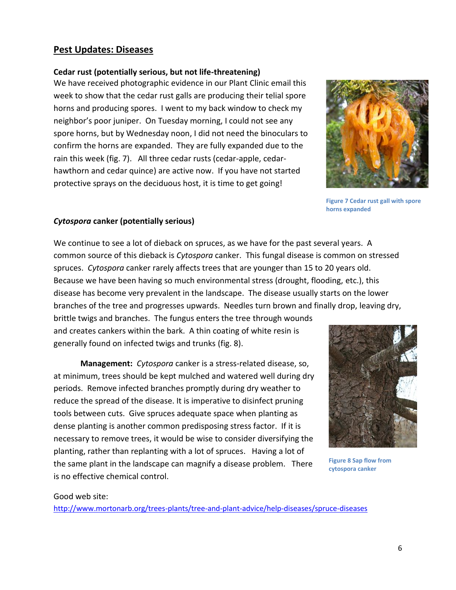# **Pest Updates: Diseases**

#### **Cedar rust (potentially serious, but not life-threatening)**

We have received photographic evidence in our Plant Clinic email this week to show that the cedar rust galls are producing their telial spore horns and producing spores. I went to my back window to check my neighbor's poor juniper. On Tuesday morning, I could not see any spore horns, but by Wednesday noon, I did not need the binoculars to confirm the horns are expanded. They are fully expanded due to the rain this week (fig. 7). All three cedar rusts (cedar-apple, cedarhawthorn and cedar quince) are active now. If you have not started protective sprays on the deciduous host, it is time to get going!



**Figure 7 Cedar rust gall with spore horns expanded**

#### *Cytospora* **canker (potentially serious)**

We continue to see a lot of dieback on spruces, as we have for the past several years. A common source of this dieback is *Cytospora* canker. This fungal disease is common on stressed spruces. *Cytospora* canker rarely affects trees that are younger than 15 to 20 years old. Because we have been having so much environmental stress (drought, flooding, etc.), this disease has become very prevalent in the landscape. The disease usually starts on the lower branches of the tree and progresses upwards. Needles turn brown and finally drop, leaving dry,

brittle twigs and branches. The fungus enters the tree through wounds and creates cankers within the bark. A thin coating of white resin is generally found on infected twigs and trunks (fig. 8).

**Management:** *Cytospora* canker is a stress-related disease, so, at minimum, trees should be kept mulched and watered well during dry periods. Remove infected branches promptly during dry weather to reduce the spread of the disease. It is imperative to disinfect pruning tools between cuts. Give spruces adequate space when planting as dense planting is another common predisposing stress factor. If it is necessary to remove trees, it would be wise to consider diversifying the planting, rather than replanting with a lot of spruces. Having a lot of the same plant in the landscape can magnify a disease problem. There is no effective chemical control.



**Figure 8 Sap flow from cytospora canker**

#### Good web site:

<http://www.mortonarb.org/trees-plants/tree-and-plant-advice/help-diseases/spruce-diseases>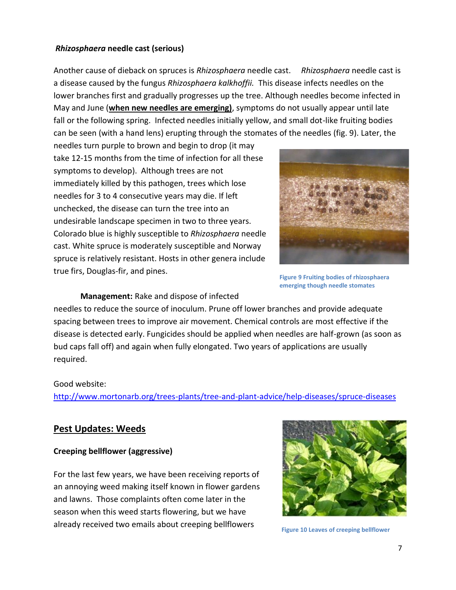#### *Rhizosphaera* **needle cast (serious)**

Another cause of dieback on spruces is *Rhizosphaera* needle cast. *Rhizosphaera* needle cast is a disease caused by the fungus *Rhizosphaera kalkhoffii.* This disease infects needles on the lower branches first and gradually progresses up the tree. Although needles become infected in May and June (**when new needles are emerging)**, symptoms do not usually appear until late fall or the following spring. Infected needles initially yellow, and small dot-like fruiting bodies can be seen (with a hand lens) erupting through the stomates of the needles (fig. 9). Later, the

needles turn purple to brown and begin to drop (it may take 12-15 months from the time of infection for all these symptoms to develop). Although trees are not immediately killed by this pathogen, trees which lose needles for 3 to 4 consecutive years may die. If left unchecked, the disease can turn the tree into an undesirable landscape specimen in two to three years. Colorado blue is highly susceptible to *Rhizosphaera* needle cast. White spruce is moderately susceptible and Norway spruce is relatively resistant. Hosts in other genera include true firs, Douglas-fir, and pines.



**Figure 9 Fruiting bodies of rhizosphaera emerging though needle stomates**

**Management:** Rake and dispose of infected

needles to reduce the source of inoculum. Prune off lower branches and provide adequate spacing between trees to improve air movement. Chemical controls are most effective if the disease is detected early. Fungicides should be applied when needles are half-grown (as soon as bud caps fall off) and again when fully elongated. Two years of applications are usually required.

#### Good website:

<http://www.mortonarb.org/trees-plants/tree-and-plant-advice/help-diseases/spruce-diseases>

### **Pest Updates: Weeds**

#### **Creeping bellflower (aggressive)**

For the last few years, we have been receiving reports of an annoying weed making itself known in flower gardens and lawns. Those complaints often come later in the season when this weed starts flowering, but we have already received two emails about creeping bellflowers



**Figure 10 Leaves of creeping bellflower**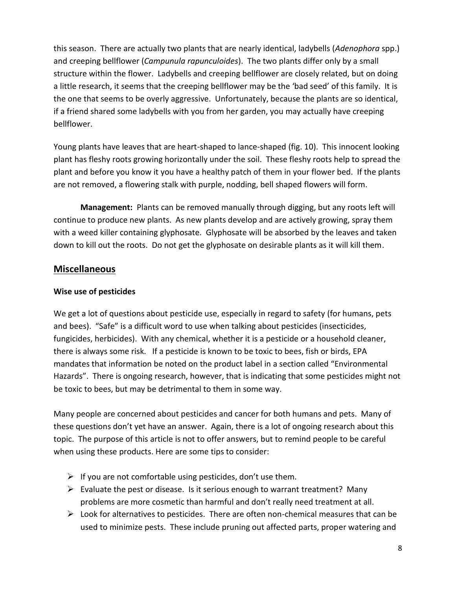this season. There are actually two plants that are nearly identical, ladybells (*Adenophora* spp.) and creeping bellflower (*Campunula rapunculoides*). The two plants differ only by a small structure within the flower. Ladybells and creeping bellflower are closely related, but on doing a little research, it seems that the creeping bellflower may be the 'bad seed' of this family. It is the one that seems to be overly aggressive. Unfortunately, because the plants are so identical, if a friend shared some ladybells with you from her garden, you may actually have creeping bellflower.

Young plants have leaves that are heart-shaped to lance-shaped (fig. 10). This innocent looking plant has fleshy roots growing horizontally under the soil. These fleshy roots help to spread the plant and before you know it you have a healthy patch of them in your flower bed. If the plants are not removed, a flowering stalk with purple, nodding, bell shaped flowers will form.

**Management:** Plants can be removed manually through digging, but any roots left will continue to produce new plants. As new plants develop and are actively growing, spray them with a weed killer containing glyphosate. Glyphosate will be absorbed by the leaves and taken down to kill out the roots. Do not get the glyphosate on desirable plants as it will kill them.

# **Miscellaneous**

#### **Wise use of pesticides**

We get a lot of questions about pesticide use, especially in regard to safety (for humans, pets and bees). "Safe" is a difficult word to use when talking about pesticides (insecticides, fungicides, herbicides). With any chemical, whether it is a pesticide or a household cleaner, there is always some risk. If a pesticide is known to be toxic to bees, fish or birds, EPA mandates that information be noted on the product label in a section called "Environmental Hazards". There is ongoing research, however, that is indicating that some pesticides might not be toxic to bees, but may be detrimental to them in some way.

Many people are concerned about pesticides and cancer for both humans and pets. Many of these questions don't yet have an answer. Again, there is a lot of ongoing research about this topic. The purpose of this article is not to offer answers, but to remind people to be careful when using these products. Here are some tips to consider:

- $\triangleright$  If you are not comfortable using pesticides, don't use them.
- $\triangleright$  Evaluate the pest or disease. Is it serious enough to warrant treatment? Many problems are more cosmetic than harmful and don't really need treatment at all.
- $\triangleright$  Look for alternatives to pesticides. There are often non-chemical measures that can be used to minimize pests. These include pruning out affected parts, proper watering and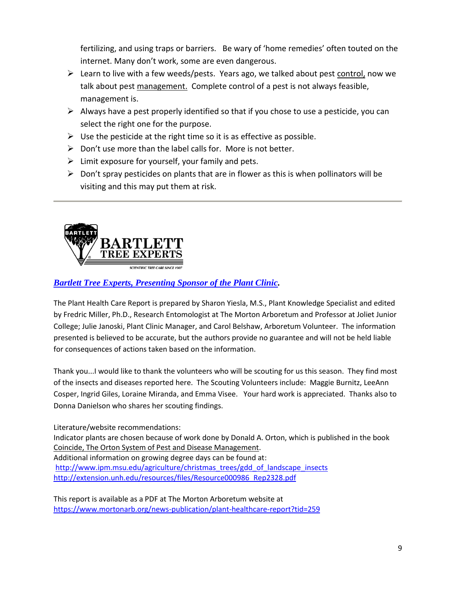fertilizing, and using traps or barriers. Be wary of 'home remedies' often touted on the internet. Many don't work, some are even dangerous.

- ➢ Learn to live with a few weeds/pests. Years ago, we talked about pest control, now we talk about pest management. Complete control of a pest is not always feasible, management is.
- $\triangleright$  Always have a pest properly identified so that if you chose to use a pesticide, you can select the right one for the purpose.
- $\triangleright$  Use the pesticide at the right time so it is as effective as possible.
- $\triangleright$  Don't use more than the label calls for. More is not better.
- $\triangleright$  Limit exposure for yourself, your family and pets.
- $\triangleright$  Don't spray pesticides on plants that are in flower as this is when pollinators will be visiting and this may put them at risk.



# *[Bartlett Tree Experts, Presenting Sponsor of the Plant Clinic.](https://www.bartlett.com/)*

The Plant Health Care Report is prepared by Sharon Yiesla, M.S., Plant Knowledge Specialist and edited by Fredric Miller, Ph.D., Research Entomologist at The Morton Arboretum and Professor at Joliet Junior College; Julie Janoski, Plant Clinic Manager, and Carol Belshaw, Arboretum Volunteer. The information presented is believed to be accurate, but the authors provide no guarantee and will not be held liable for consequences of actions taken based on the information.

Thank you...I would like to thank the volunteers who will be scouting for us this season. They find most of the insects and diseases reported here. The Scouting Volunteers include: Maggie Burnitz, LeeAnn Cosper, Ingrid Giles, Loraine Miranda, and Emma Visee. Your hard work is appreciated. Thanks also to Donna Danielson who shares her scouting findings.

Literature/website recommendations:

Indicator plants are chosen because of work done by Donald A. Orton, which is published in the book Coincide, The Orton System of Pest and Disease Management. Additional information on growing degree days can be found at: [http://www.ipm.msu.edu/agriculture/christmas\\_trees/gdd\\_of\\_landscape\\_insects](http://www.ipm.msu.edu/agriculture/christmas_trees/gdd_of_landscape_insects) [http://extension.unh.edu/resources/files/Resource000986\\_Rep2328.pdf](http://extension.unh.edu/resources/files/Resource000986_Rep2328.pdf)

This report is available as a PDF at The Morton Arboretum website at <https://www.mortonarb.org/news-publication/plant-healthcare-report?tid=259>